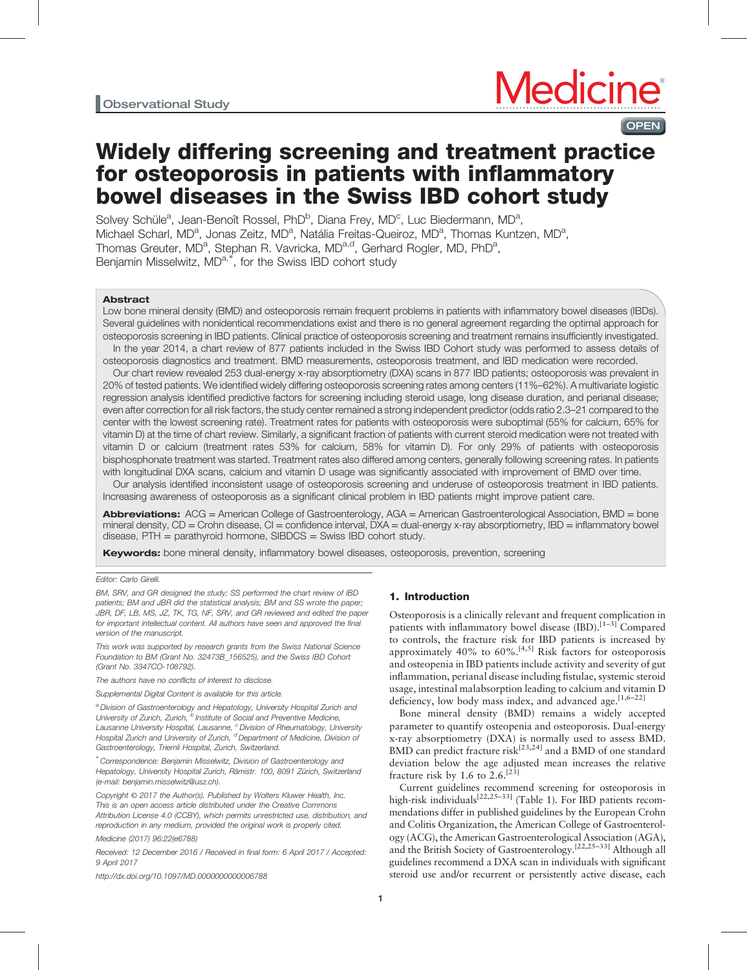**Medicines** 

# **OPEN**

# Widely differing screening and treatment practice for osteoporosis in patients with inflammatory bowel diseases in the Swiss IBD cohort study

Solvey Schüle<sup>a</sup>, Jean-Benoît Rossel, PhD<sup>b</sup>, Diana Frey, MD<sup>c</sup>, Luc Biedermann, MD<sup>a</sup>, Michael Scharl, MD<sup>a</sup>, Jonas Zeitz, MD<sup>a</sup>, Natália Freitas-Queiroz, MD<sup>a</sup>, Thomas Kuntzen, MD<sup>a</sup>, Thomas Greuter, MD<sup>a</sup>, Stephan R. Vavricka, MD<sup>a,d</sup>, Gerhard Rogler, MD, PhD<sup>a</sup>, Benjamin Misselwitz, MD<sup>a,\*</sup>, for the Swiss IBD cohort study

# Abstract

Low bone mineral density (BMD) and osteoporosis remain frequent problems in patients with inflammatory bowel diseases (IBDs). Several guidelines with nonidentical recommendations exist and there is no general agreement regarding the optimal approach for osteoporosis screening in IBD patients. Clinical practice of osteoporosis screening and treatment remains insufficiently investigated. In the year 2014, a chart review of 877 patients included in the Swiss IBD Cohort study was performed to assess details of

osteoporosis diagnostics and treatment. BMD measurements, osteoporosis treatment, and IBD medication were recorded.

Our chart review revealed 253 dual-energy x-ray absorptiometry (DXA) scans in 877 IBD patients; osteoporosis was prevalent in 20% of tested patients. We identified widely differing osteoporosis screening rates among centers (11%–62%). A multivariate logistic regression analysis identified predictive factors for screening including steroid usage, long disease duration, and perianal disease; even after correction for all risk factors, the study center remained a strong independent predictor (odds ratio 2.3–21 compared to the center with the lowest screening rate). Treatment rates for patients with osteoporosis were suboptimal (55% for calcium, 65% for vitamin D) at the time of chart review. Similarly, a significant fraction of patients with current steroid medication were not treated with vitamin D or calcium (treatment rates 53% for calcium, 58% for vitamin D). For only 29% of patients with osteoporosis bisphosphonate treatment was started. Treatment rates also differed among centers, generally following screening rates. In patients with longitudinal DXA scans, calcium and vitamin D usage was significantly associated with improvement of BMD over time.

Our analysis identified inconsistent usage of osteoporosis screening and underuse of osteoporosis treatment in IBD patients. Increasing awareness of osteoporosis as a significant clinical problem in IBD patients might improve patient care.

Abbreviations: ACG = American College of Gastroenterology, AGA = American Gastroenterological Association, BMD = bone mineral density,  $CD =$  Crohn disease,  $CI =$  confidence interval,  $DXA =$  dual-energy x-ray absorptiometry,  $IBD =$  inflammatory bowel disease, PTH = parathyroid hormone, SIBDCS = Swiss IBD cohort study.

Keywords: bone mineral density, inflammatory bowel diseases, osteoporosis, prevention, screening

#### Editor: Carlo Girelli.

BM, SRV, and GR designed the study; SS performed the chart review of IBD patients; BM and JBR did the statistical analysis; BM and SS wrote the paper; JBR, DF, LB, MS, JZ, TK, TG, NF, SRV, and GR reviewed and edited the paper for important intellectual content. All authors have seen and approved the final version of the manuscript.

This work was supported by research grants from the Swiss National Science Foundation to BM (Grant No. 32473B\_156525), and the Swiss IBD Cohort (Grant No. 3347CO-108792).

The authors have no conflicts of interest to disclose.

Supplemental Digital Content is available for this article.

<sup>a</sup> Division of Gastroenterology and Hepatology, University Hospital Zurich and University of Zurich, Zurich, <sup>b</sup> Institute of Social and Preventive Medicine, Lausanne University Hospital, Lausanne, <sup>c</sup> Division of Rheumatology, University Hospital Zurich and University of Zurich, <sup>d</sup> Department of Medicine, Division of Gastroenterology, Triemli Hospital, Zurich, Switzerland.

∗ Correspondence: Benjamin Misselwitz, Division of Gastroenterology and Hepatology, University Hospital Zurich, Rämistr. 100, 8091 Zürich, Switzerland (e-mail: [benjamin.misselwitz@usz.ch](mailto:benjamin.misselwitz@usz.ch)).

Copyright © 2017 the Author(s). Published by Wolters Kluwer Health, Inc. This is an open access article distributed under the [Creative Commons](http://creativecommons.org/licenses/by/4.0) [Attribution License 4.0](http://creativecommons.org/licenses/by/4.0) (CCBY), which permits unrestricted use, distribution, and reproduction in any medium, provided the original work is properly cited.

#### Medicine (2017) 96:22(e6788)

Received: 12 December 2016 / Received in final form: 6 April 2017 / Accepted: 9 April 2017

<http://dx.doi.org/10.1097/MD.0000000000006788>

# 1. Introduction

Osteoporosis is a clinically relevant and frequent complication in patients with inflammatory bowel disease  $(IBD)$ .<sup>[1–3]</sup> Compared to controls, the fracture risk for IBD patients is increased by approximately 40% to  $60\%$ .<sup>[4,5]</sup> Risk factors for osteoporosis and osteopenia in IBD patients include activity and severity of gut inflammation, perianal disease including fistulae, systemic steroid usage, intestinal malabsorption leading to calcium and vitamin D deficiency, low body mass index, and advanced age.<sup>[1,6-22]</sup>

Bone mineral density (BMD) remains a widely accepted parameter to quantify osteopenia and osteoporosis. Dual-energy x-ray absorptiometry (DXA) is normally used to assess BMD.  $BMD$  can predict fracture risk<sup>[23,24]</sup> and a BMD of one standard deviation below the age adjusted mean increases the relative fracture risk by 1.6 to  $2.6$ .<sup>[\[23\]](#page-6-0)</sup>

Current guidelines recommend screening for osteoporosis in high-risk individuals<sup>[22,25-33]</sup> ([Table 1](#page-1-0)). For IBD patients recommendations differ in published guidelines by the European Crohn and Colitis Organization, the American College of Gastroenterology (ACG), the American Gastroenterological Association (AGA), and the British Society of Gastroenterology.[22,25–33] Although all guidelines recommend a DXA scan in individuals with significant steroid use and/or recurrent or persistently active disease, each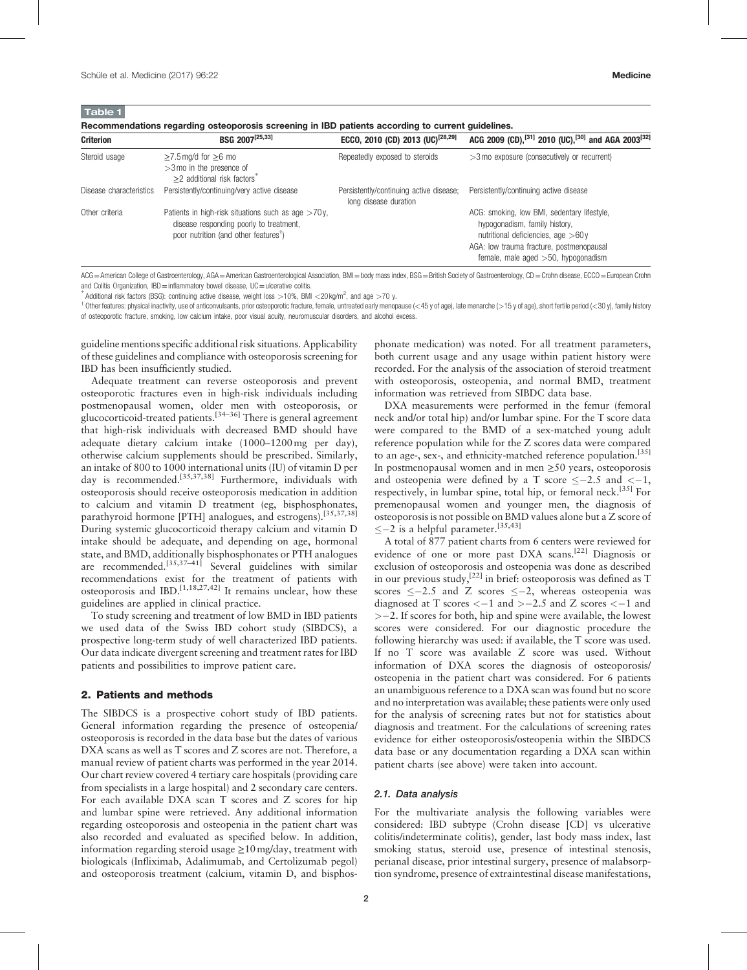<span id="page-1-0"></span>Table 1

| Recommendations regarding osteoporosis screening in IBD patients according to current guidelines. |                                                                                                                                                       |                                                                  |                                                                                                                                                                                                            |  |  |
|---------------------------------------------------------------------------------------------------|-------------------------------------------------------------------------------------------------------------------------------------------------------|------------------------------------------------------------------|------------------------------------------------------------------------------------------------------------------------------------------------------------------------------------------------------------|--|--|
| <b>Criterion</b>                                                                                  | BSG 2007 <sup>[25,33]</sup>                                                                                                                           | ECCO, 2010 (CD) 2013 (UC) <sup>[28,29]</sup>                     | ACG 2009 (CD), <sup>[31]</sup> 2010 (UC), <sup>[30]</sup> and AGA 2003 <sup>[32]</sup>                                                                                                                     |  |  |
| Steroid usage                                                                                     | $\geq$ 7.5 mg/d for $\geq$ 6 mo<br>$>3$ mo in the presence of<br>$>$ 2 additional risk factors                                                        | Repeatedly exposed to steroids                                   | >3 mo exposure (consecutively or recurrent)                                                                                                                                                                |  |  |
| Disease characteristics                                                                           | Persistently/continuing/very active disease                                                                                                           | Persistently/continuing active disease;<br>long disease duration | Persistently/continuing active disease                                                                                                                                                                     |  |  |
| Other criteria                                                                                    | Patients in high-risk situations such as age $>70y$ ,<br>disease responding poorly to treatment,<br>poor nutrition (and other features <sup>†</sup> ) |                                                                  | ACG: smoking, low BMI, sedentary lifestyle,<br>hypogonadism, family history,<br>nutritional deficiencies, age $>60y$<br>AGA: low trauma fracture, postmenopausal<br>female, male aged $>50$ , hypogonadism |  |  |

ACG=American College of Gastroenterology, AGA=American Gastroenterological Association, BMI=body mass index, BSG=British Society of Gastroenterology, CD=Crohn disease, ECCO=European Crohn and Colitis Organization, IBD=inflammatory bowel disease, UC=ulcerative colitis.

Additional risk factors (BSG): continuing active disease, weight loss >10%, BMI <20 kg/m<sup>2</sup>, and age >70 y.

† Other features: physical inactivity, use of anticonvulsants, prior osteoporotic fracture, female, untreated early menopause (<45 y of age), late menarche (>15 y of age), short fertile period (<30 y), family history of osteoporotic fracture, smoking, low calcium intake, poor visual acuity, neuromuscular disorders, and alcohol excess.

guideline mentions specific additional risk situations. Applicability of these guidelines and compliance with osteoporosis screening for IBD has been insufficiently studied.

Adequate treatment can reverse osteoporosis and prevent osteoporotic fractures even in high-risk individuals including postmenopausal women, older men with osteoporosis, or glucocorticoid-treated patients.<sup>[34–36]</sup> There is general agreement that high-risk individuals with decreased BMD should have adequate dietary calcium intake (1000–1200mg per day), otherwise calcium supplements should be prescribed. Similarly, an intake of 800 to 1000 international units (IU) of vitamin D per day is recommended.<sup>[35,37,38]</sup> Furthermore, individuals with osteoporosis should receive osteoporosis medication in addition to calcium and vitamin D treatment (eg, bisphosphonates, parathyroid hormone [PTH] analogues, and estrogens).<sup>[35,37,38]</sup> During systemic glucocorticoid therapy calcium and vitamin D intake should be adequate, and depending on age, hormonal state, and BMD, additionally bisphosphonates or PTH analogues are recommended.<sup>[35,37-41]</sup> Several guidelines with similar recommendations exist for the treatment of patients with osteoporosis and IBD.<sup>[1,18,27,42]</sup> It remains unclear, how these guidelines are applied in clinical practice.

To study screening and treatment of low BMD in IBD patients we used data of the Swiss IBD cohort study (SIBDCS), a prospective long-term study of well characterized IBD patients. Our data indicate divergent screening and treatment rates for IBD patients and possibilities to improve patient care.

# 2. Patients and methods

The SIBDCS is a prospective cohort study of IBD patients. General information regarding the presence of osteopenia/ osteoporosis is recorded in the data base but the dates of various DXA scans as well as T scores and Z scores are not. Therefore, a manual review of patient charts was performed in the year 2014. Our chart review covered 4 tertiary care hospitals (providing care from specialists in a large hospital) and 2 secondary care centers. For each available DXA scan T scores and Z scores for hip and lumbar spine were retrieved. Any additional information regarding osteoporosis and osteopenia in the patient chart was also recorded and evaluated as specified below. In addition, information regarding steroid usage ≥10mg/day, treatment with biologicals (Infliximab, Adalimumab, and Certolizumab pegol) and osteoporosis treatment (calcium, vitamin D, and bisphosphonate medication) was noted. For all treatment parameters, both current usage and any usage within patient history were recorded. For the analysis of the association of steroid treatment with osteoporosis, osteopenia, and normal BMD, treatment information was retrieved from SIBDC data base.

DXA measurements were performed in the femur (femoral neck and/or total hip) and/or lumbar spine. For the T score data were compared to the BMD of a sex-matched young adult reference population while for the Z scores data were compared to an age-, sex-, and ethnicity-matched reference population.<sup>[\[35\]](#page-6-0)</sup> In postmenopausal women and in men  $\geq 50$  years, osteoporosis and osteopenia were defined by a T score  $\leq -2.5$  and  $\lt -1$ , respectively, in lumbar spine, total hip, or femoral neck.<sup>[\[35\]](#page-6-0)</sup> For premenopausal women and younger men, the diagnosis of osteoporosis is not possible on BMD values alone but a Z score of  $\leq$  -2 is a helpful parameter.<sup>[35,43]</sup>

A total of 877 patient charts from 6 centers were reviewed for evidence of one or more past DXA scans.<sup>[\[22\]](#page-6-0)</sup> Diagnosis or exclusion of osteoporosis and osteopenia was done as described in our previous study, $[22]$  in brief: osteoporosis was defined as T scores  $\leq -2.5$  and Z scores  $\leq -2$ , whereas osteopenia was diagnosed at T scores  $<-1$  and  $>-2.5$  and Z scores  $<-1$  and >2. If scores for both, hip and spine were available, the lowest scores were considered. For our diagnostic procedure the following hierarchy was used: if available, the T score was used. If no T score was available Z score was used. Without information of DXA scores the diagnosis of osteoporosis/ osteopenia in the patient chart was considered. For 6 patients an unambiguous reference to a DXA scan was found but no score and no interpretation was available; these patients were only used for the analysis of screening rates but not for statistics about diagnosis and treatment. For the calculations of screening rates evidence for either osteoporosis/osteopenia within the SIBDCS data base or any documentation regarding a DXA scan within patient charts (see above) were taken into account.

#### 2.1. Data analysis

For the multivariate analysis the following variables were considered: IBD subtype (Crohn disease [CD] vs ulcerative colitis/indeterminate colitis), gender, last body mass index, last smoking status, steroid use, presence of intestinal stenosis, perianal disease, prior intestinal surgery, presence of malabsorption syndrome, presence of extraintestinal disease manifestations,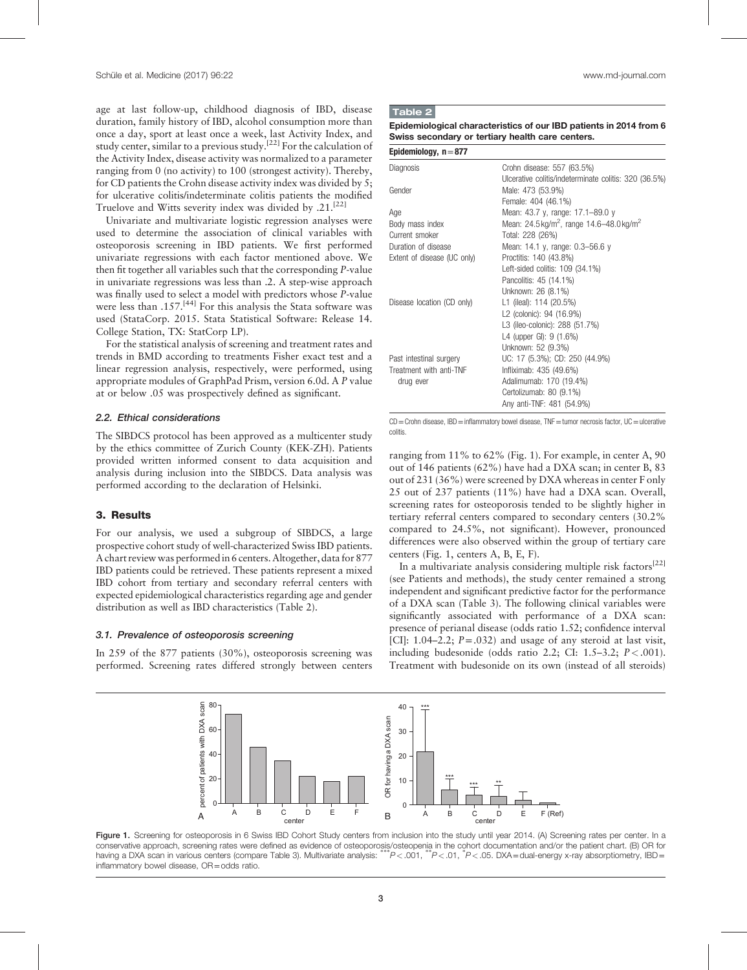<span id="page-2-0"></span>age at last follow-up, childhood diagnosis of IBD, disease duration, family history of IBD, alcohol consumption more than once a day, sport at least once a week, last Activity Index, and study center, similar to a previous study.<sup>[\[22\]](#page-6-0)</sup> For the calculation of the Activity Index, disease activity was normalized to a parameter ranging from 0 (no activity) to 100 (strongest activity). Thereby, for CD patients the Crohn disease activity index was divided by 5; for ulcerative colitis/indeterminate colitis patients the modified Truelove and Witts severity index was divided by .21.[\[22\]](#page-6-0)

Univariate and multivariate logistic regression analyses were used to determine the association of clinical variables with osteoporosis screening in IBD patients. We first performed univariate regressions with each factor mentioned above. We then fit together all variables such that the corresponding P-value in univariate regressions was less than .2. A step-wise approach was finally used to select a model with predictors whose P-value were less than .157.<sup>[\[44\]](#page-7-0)</sup> For this analysis the Stata software was used (StataCorp. 2015. Stata Statistical Software: Release 14. College Station, TX: StatCorp LP).

For the statistical analysis of screening and treatment rates and trends in BMD according to treatments Fisher exact test and a linear regression analysis, respectively, were performed, using appropriate modules of GraphPad Prism, version 6.0d. A P value at or below .05 was prospectively defined as significant.

#### 2.2. Ethical considerations

The SIBDCS protocol has been approved as a multicenter study by the ethics committee of Zurich County (KEK-ZH). Patients provided written informed consent to data acquisition and analysis during inclusion into the SIBDCS. Data analysis was performed according to the declaration of Helsinki.

# 3. Results

For our analysis, we used a subgroup of SIBDCS, a large prospective cohort study of well-characterized Swiss IBD patients. A chart review was performed in 6 centers. Altogether, data for 877 IBD patients could be retrieved. These patients represent a mixed IBD cohort from tertiary and secondary referral centers with expected epidemiological characteristics regarding age and gender distribution as well as IBD characteristics (Table 2).

#### 3.1. Prevalence of osteoporosis screening

In 259 of the 877 patients (30%), osteoporosis screening was performed. Screening rates differed strongly between centers

# Table 2

#### Epidemiological characteristics of our IBD patients in 2014 from 6 Swiss secondary or tertiary health care centers. Epidemiology, n=877

| Crohn disease: 557 (63.5%)                                       |  |  |
|------------------------------------------------------------------|--|--|
| Ulcerative colitis/indeterminate colitis: 320 (36.5%)            |  |  |
| Male: 473 (53.9%)                                                |  |  |
| Female: 404 (46.1%)                                              |  |  |
| Mean: 43.7 y, range: 17.1–89.0 y                                 |  |  |
| Mean: 24.5 kg/m <sup>2</sup> , range 14.6–48.0 kg/m <sup>2</sup> |  |  |
| Total: 228 (26%)                                                 |  |  |
| Mean: 14.1 y, range: 0.3–56.6 y                                  |  |  |
| Proctitis: 140 (43.8%)                                           |  |  |
| Left-sided colitis: 109 (34.1%)                                  |  |  |
| Pancolitis: 45 (14.1%)                                           |  |  |
| Unknown: 26 (8.1%)                                               |  |  |
| L1 (ileal): 114 (20.5%)                                          |  |  |
| L2 (colonic): 94 (16.9%)                                         |  |  |
| L3 (ileo-colonic): 288 (51.7%)                                   |  |  |
| L4 (upper GI): 9 (1.6%)                                          |  |  |
| Unknown: 52 (9.3%)                                               |  |  |
| UC: 17 (5.3%); CD: 250 (44.9%)                                   |  |  |
| Infliximab: 435 (49.6%)                                          |  |  |
| Adalimumab: 170 (19.4%)                                          |  |  |
| Certolizumab: 80 (9.1%)                                          |  |  |
| Any anti-TNF: 481 (54.9%)                                        |  |  |
|                                                                  |  |  |

 $CD =$ Crohn disease, IBD = inflammatory bowel disease, TNF = tumor necrosis factor, UC = ulcerative colitis.

ranging from 11% to 62% (Fig. 1). For example, in center A, 90 out of 146 patients (62%) have had a DXA scan; in center B, 83 out of 231 (36%) were screened by DXA whereas in center F only 25 out of 237 patients (11%) have had a DXA scan. Overall, screening rates for osteoporosis tended to be slightly higher in tertiary referral centers compared to secondary centers (30.2% compared to 24.5%, not significant). However, pronounced differences were also observed within the group of tertiary care centers (Fig. 1, centers A, B, E, F).

In a multivariate analysis considering multiple risk factors<sup>[\[22\]](#page-6-0)</sup> (see Patients and methods), the study center remained a strong independent and significant predictive factor for the performance of a DXA scan [\(Table 3](#page-3-0)). The following clinical variables were significantly associated with performance of a DXA scan: presence of perianal disease (odds ratio 1.52; confidence interval [CI]:  $1.04-2.2$ ;  $P = .032$ ) and usage of any steroid at last visit, including budesonide (odds ratio 2.2; CI:  $1.5-3.2$ ;  $P < .001$ ). Treatment with budesonide on its own (instead of all steroids)



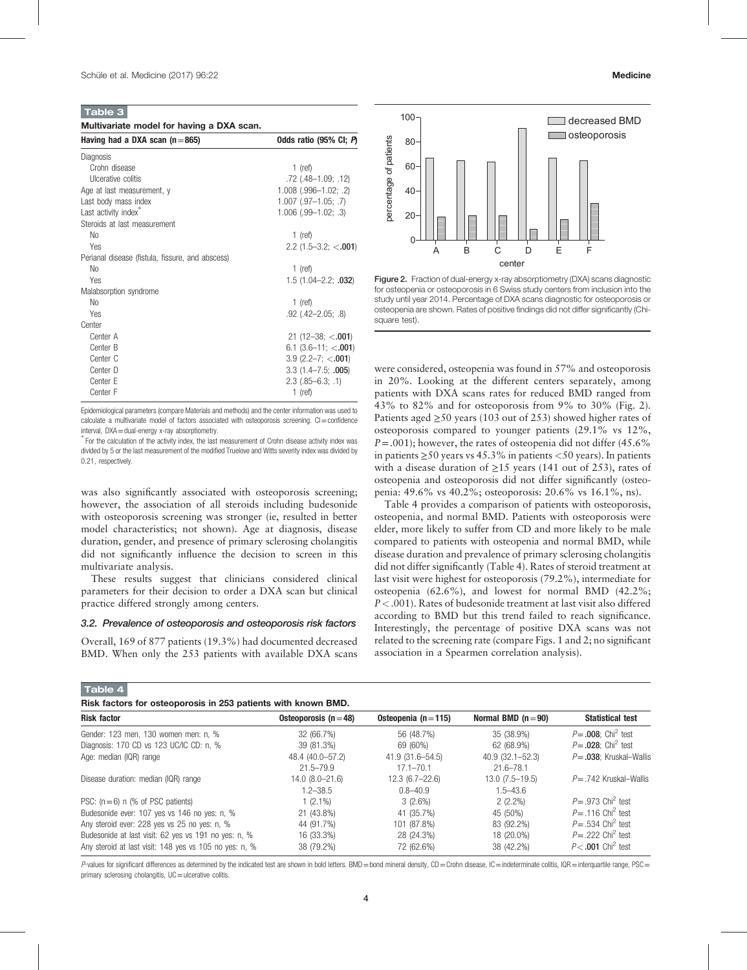<span id="page-3-0"></span>

| Table 3                                   |  |  |  |  |
|-------------------------------------------|--|--|--|--|
| Multivariate model for having a DXA scan. |  |  |  |  |

| Having had a DXA scan ( $n = 865$ )              | Odds ratio (95% CI; P)      |  |
|--------------------------------------------------|-----------------------------|--|
| Diagnosis                                        |                             |  |
| Crohn disease                                    | $1$ (ref)                   |  |
| Ulcerative colitis                               | .72 (.48–1.09; .12)         |  |
| Age at last measurement, y                       | $1.008$ $(.996 - 1.02; .2)$ |  |
| Last body mass index                             | $1.007$ (.97-1.05; .7)      |  |
| Last activity index <sup>®</sup>                 | $1.006$ $(.99-1.02; .3)$    |  |
| Steroids at last measurement                     |                             |  |
| No                                               | 1 (ref)                     |  |
| Yes                                              | $2.2(1.5-3.2) < 0.001$      |  |
| Perianal disease (fistula, fissure, and abscess) |                             |  |
| No                                               | 1 (ref)                     |  |
| Yes                                              | $1.5(1.04 - 2.2, .032)$     |  |
| Malabsorption syndrome                           |                             |  |
| No                                               | 1 (ref)                     |  |
| Yes                                              | $.92$ $(.42 - 2.05; .8)$    |  |
| Center                                           |                             |  |
| Center A                                         | $21(12-38; < .001)$         |  |
| Center B                                         | 6.1 $(3.6-11) < .001$       |  |
| Center C                                         | $3.9(2.2-7; < .001)$        |  |
| Center D                                         | $3.3(1.4 - 7.5, .005)$      |  |
| Center E                                         | $2.3(.85 - 6.3; .1)$        |  |
| Center <sub>F</sub>                              | $1$ (ref)                   |  |
|                                                  |                             |  |

Epidemiological parameters (compare Materials and methods) and the center information was used to calculate a multivariate model of factors associated with osteoporosis screening.  $Cl =$ confidence interval, DXA=dual-energy x-ray absorptiometry.

For the calculation of the activity index, the last measurement of Crohn disease activity index was divided by 5 or the last measurement of the modified Truelove and Witts severity index was divided by 0.21, respectively.

was also significantly associated with osteoporosis screening; however, the association of all steroids including budesonide with osteoporosis screening was stronger (ie, resulted in better model characteristics; not shown). Age at diagnosis, disease duration, gender, and presence of primary sclerosing cholangitis did not significantly influence the decision to screen in this multivariate analysis.

These results suggest that clinicians considered clinical parameters for their decision to order a DXA scan but clinical practice differed strongly among centers.

# 3.2. Prevalence of osteoporosis and osteoporosis risk factors

Overall, 169 of 877 patients (19.3%) had documented decreased BMD. When only the 253 patients with available DXA scans



Figure 2. Fraction of dual-energy x-ray absorptiometry (DXA) scans diagnostic for osteopenia or osteoporosis in 6 Swiss study centers from inclusion into the study until year 2014. Percentage of DXA scans diagnostic for osteoporosis or osteopenia are shown. Rates of positive findings did not differ significantly (Chisquare test).

were considered, osteopenia was found in 57% and osteoporosis in 20%. Looking at the different centers separately, among patients with DXA scans rates for reduced BMD ranged from 43% to 82% and for osteoporosis from 9% to 30% (Fig. 2). Patients aged ≥50 years (103 out of 253) showed higher rates of osteoporosis compared to younger patients (29.1% vs 12%,  $P = .001$ ); however, the rates of osteopenia did not differ (45.6%) in patients  $\geq$  50 years vs 45.3% in patients <50 years). In patients with a disease duration of  $\geq$ 15 years (141 out of 253), rates of osteopenia and osteoporosis did not differ significantly (osteopenia: 49.6% vs 40.2%; osteoporosis: 20.6% vs 16.1%, ns).

Table 4 provides a comparison of patients with osteoporosis, osteopenia, and normal BMD. Patients with osteoporosis were elder, more likely to suffer from CD and more likely to be male compared to patients with osteopenia and normal BMD, while disease duration and prevalence of primary sclerosing cholangitis did not differ significantly (Table 4). Rates of steroid treatment at last visit were highest for osteoporosis (79.2%), intermediate for osteopenia (62.6%), and lowest for normal BMD (42.2%; P<.001). Rates of budesonide treatment at last visit also differed according to BMD but this trend failed to reach significance. Interestingly, the percentage of positive DXA scans was not related to the screening rate (compare Figs. 1 and 2; no significant association in a Spearmen correlation analysis).

# Table 4

| Risk factors for osteoporosis in 253 patients with known BMD. |                       |                          |                     |                                    |  |  |  |
|---------------------------------------------------------------|-----------------------|--------------------------|---------------------|------------------------------------|--|--|--|
| <b>Risk factor</b>                                            | Osteoporosis $(n=48)$ | Osteopenia ( $n = 115$ ) | Normal BMD $(n=90)$ | <b>Statistical test</b>            |  |  |  |
| Gender: 123 men, 130 women men: n, %                          | 32 (66.7%)            | 56 (48.7%)               | 35 (38.9%)          | $P = .008$ ; Chi <sup>2</sup> test |  |  |  |
| Diagnosis: 170 CD vs 123 UC/IC CD: n, %                       | 39 (81.3%)            | 69 (60%)                 | 62 (68.9%)          | $P = .028$ ; Chi <sup>2</sup> test |  |  |  |
| Age: median (IQR) range                                       | 48.4 (40.0-57.2)      | 41.9 (31.6-54.5)         | $40.9(32.1 - 52.3)$ | $P = .038$ ; Kruskal-Wallis        |  |  |  |
|                                                               | $21.5 - 79.9$         | $17.1 - 70.1$            | $21.6 - 78.1$       |                                    |  |  |  |
| Disease duration: median (IQR) range                          | $14.0 (8.0 - 21.6)$   | $12.3(6.7-22.6)$         | $13.0(7.5 - 19.5)$  | $P = .742$ Kruskal–Wallis          |  |  |  |
|                                                               | $1.2 - 38.5$          | $0.8 - 40.9$             | $1.5 - 43.6$        |                                    |  |  |  |
| PSC: $(n=6)$ n $(\%$ of PSC patients)                         | $1(2.1\%)$            | $3(2.6\%)$               | $2(2.2\%)$          | $P = .973$ Chi <sup>2</sup> test   |  |  |  |
| Budesonide ever: 107 yes vs 146 no yes: n, %                  | 21 (43.8%)            | 41 (35.7%)               | 45 (50%)            | $P = .116$ Chi <sup>2</sup> test   |  |  |  |
| Any steroid ever: 228 yes vs 25 no yes: n, %                  | 44 (91.7%)            | 101 (87.8%)              | 83 (92.2%)          | $P = .534$ Chi <sup>2</sup> test   |  |  |  |
| Budesonide at last visit: 62 yes vs 191 no yes: n, %          | 16 (33.3%)            | 28 (24.3%)               | 18 (20.0%)          | $P = .222$ Chi <sup>2</sup> test   |  |  |  |
| Any steroid at last visit: 148 yes vs 105 no yes: n, %        | 38 (79.2%)            | 72 (62.6%)               | 38 (42.2%)          | $P<$ .001 Chi <sup>2</sup> test    |  |  |  |

 $P$ -values for significant differences as determined by the indicated test are shown in bold letters. BMD = bond mineral density, CD = Crohn disease, IC = indeterminate colitis, IQR = interquartile range, PSC = primary sclerosing cholangitis, UC=ulcerative colitis.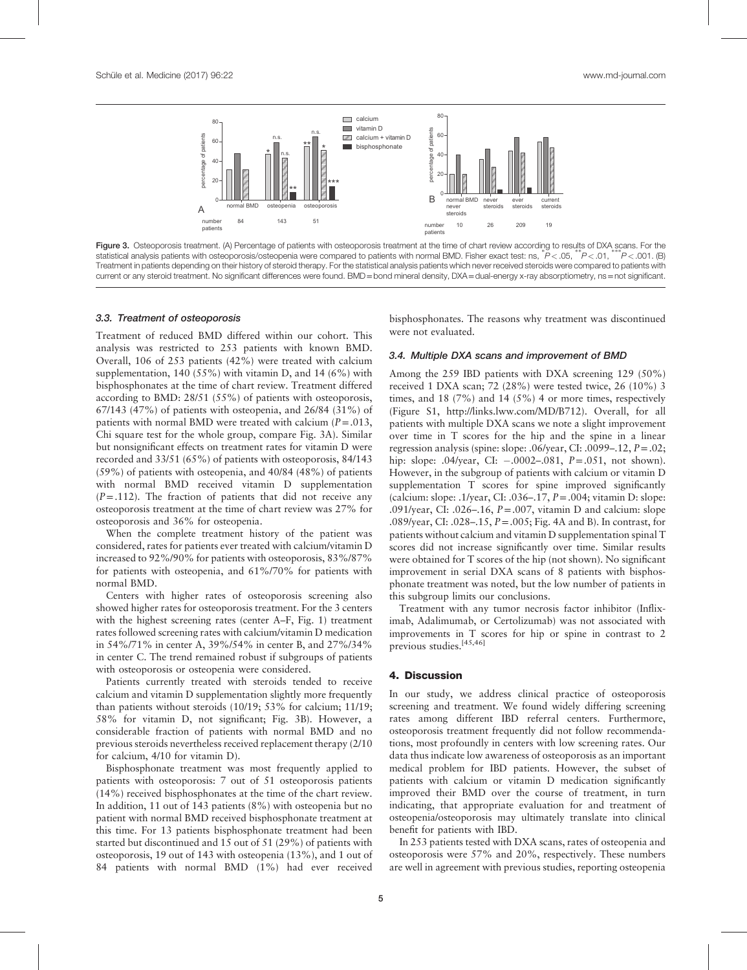

**Figure 3.** Osteoporosis treatment. (A) Percentage of patients with osteoporosis treatment at the time of chart review according to results of DXA scans. For the statistical analysis natients with osteoporosis (osteopenia statistical analysis patients with osteoporosis/osteopenia were compared to patients with normal BMD. Fisher exact test: ns, \*P<.05, \*\*P<.01, \*\*\*P<.001. (B) Treatment in patients depending on their history of steroid therapy. For the statistical analysis patients which never received steroids were compared to patients with current or any steroid treatment. No significant differences were found. BMD=bond mineral density, DXA=dual-energy x-ray absorptiometry, ns=not significant.

#### 3.3. Treatment of osteoporosis

Treatment of reduced BMD differed within our cohort. This analysis was restricted to 253 patients with known BMD. Overall, 106 of 253 patients (42%) were treated with calcium supplementation, 140 (55%) with vitamin D, and 14 (6%) with bisphosphonates at the time of chart review. Treatment differed according to BMD: 28/51 (55%) of patients with osteoporosis, 67/143 (47%) of patients with osteopenia, and 26/84 (31%) of patients with normal BMD were treated with calcium  $(P=.013, ...)$ Chi square test for the whole group, compare Fig. 3A). Similar but nonsignificant effects on treatment rates for vitamin D were recorded and 33/51 (65%) of patients with osteoporosis, 84/143 (59%) of patients with osteopenia, and 40/84 (48%) of patients with normal BMD received vitamin D supplementation  $(P=.112)$ . The fraction of patients that did not receive any osteoporosis treatment at the time of chart review was 27% for osteoporosis and 36% for osteopenia.

When the complete treatment history of the patient was considered, rates for patients ever treated with calcium/vitamin D increased to 92%/90% for patients with osteoporosis, 83%/87% for patients with osteopenia, and 61%/70% for patients with normal BMD.

Centers with higher rates of osteoporosis screening also showed higher rates for osteoporosis treatment. For the 3 centers with the highest screening rates (center A–F, [Fig. 1\)](#page-2-0) treatment rates followed screening rates with calcium/vitamin D medication in 54%/71% in center A, 39%/54% in center B, and 27%/34% in center C. The trend remained robust if subgroups of patients with osteoporosis or osteopenia were considered.

Patients currently treated with steroids tended to receive calcium and vitamin D supplementation slightly more frequently than patients without steroids (10/19; 53% for calcium; 11/19; 58% for vitamin D, not significant; Fig. 3B). However, a considerable fraction of patients with normal BMD and no previous steroids nevertheless received replacement therapy (2/10 for calcium, 4/10 for vitamin D).

Bisphosphonate treatment was most frequently applied to patients with osteoporosis: 7 out of 51 osteoporosis patients (14%) received bisphosphonates at the time of the chart review. In addition, 11 out of 143 patients (8%) with osteopenia but no patient with normal BMD received bisphosphonate treatment at this time. For 13 patients bisphosphonate treatment had been started but discontinued and 15 out of 51 (29%) of patients with osteoporosis, 19 out of 143 with osteopenia (13%), and 1 out of 84 patients with normal BMD (1%) had ever received

bisphosphonates. The reasons why treatment was discontinued were not evaluated.

## 3.4. Multiple DXA scans and improvement of BMD

Among the 259 IBD patients with DXA screening 129 (50%) received 1 DXA scan; 72 (28%) were tested twice, 26 (10%) 3 times, and 18  $(7%)$  and 14  $(5%)$  4 or more times, respectively (Figure S1,<http://links.lww.com/MD/B712>). Overall, for all patients with multiple DXA scans we note a slight improvement over time in T scores for the hip and the spine in a linear regression analysis (spine: slope: .06/year, CI: .0099–.12,  $P = .02$ ; hip: slope: .04/year, CI:  $-.0002-.081$ ,  $P=.051$ , not shown). However, in the subgroup of patients with calcium or vitamin D supplementation T scores for spine improved significantly (calcium: slope: .1/year, CI: .036–.17, P=.004; vitamin D: slope: .091/year, CI: .026-.16,  $P = .007$ , vitamin D and calcium: slope .089/year, CI: .028–.15,  $P = .005$ ; [Fig. 4](#page-5-0)A and B). In contrast, for patients without calcium and vitamin D supplementation spinal T scores did not increase significantly over time. Similar results were obtained for T scores of the hip (not shown). No significant improvement in serial DXA scans of 8 patients with bisphosphonate treatment was noted, but the low number of patients in this subgroup limits our conclusions.

Treatment with any tumor necrosis factor inhibitor (Infliximab, Adalimumab, or Certolizumab) was not associated with improvements in T scores for hip or spine in contrast to 2 previous studies.<sup>[45,46]</sup>

#### 4. Discussion

In our study, we address clinical practice of osteoporosis screening and treatment. We found widely differing screening rates among different IBD referral centers. Furthermore, osteoporosis treatment frequently did not follow recommendations, most profoundly in centers with low screening rates. Our data thus indicate low awareness of osteoporosis as an important medical problem for IBD patients. However, the subset of patients with calcium or vitamin D medication significantly improved their BMD over the course of treatment, in turn indicating, that appropriate evaluation for and treatment of osteopenia/osteoporosis may ultimately translate into clinical benefit for patients with IBD.

In 253 patients tested with DXA scans, rates of osteopenia and osteoporosis were 57% and 20%, respectively. These numbers are well in agreement with previous studies, reporting osteopenia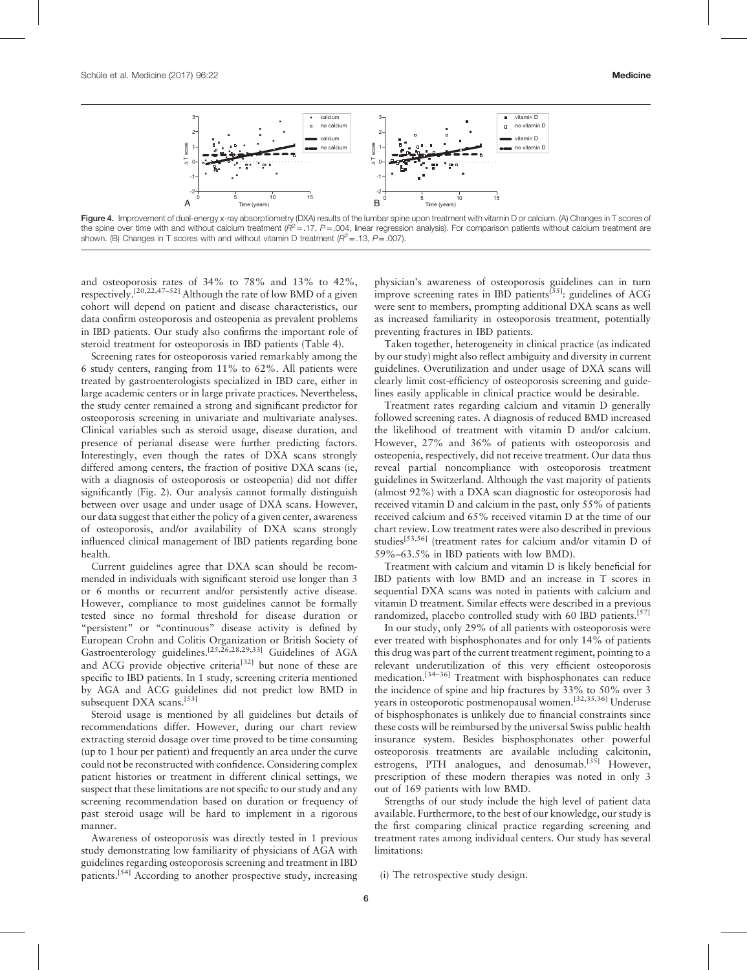<span id="page-5-0"></span>

Figure 4. Improvement of dual-energy x-ray absorptiometry (DXA) results of the lumbar spine upon treatment with vitamin D or calcium. (A) Changes in T scores of the spine over time with and without calcium treatment  $(R^2 = .17, P = .004$ , linear regression analysis). For comparison patients without calcium treatment are shown. (B) Changes in T scores with and without vitamin D treatment ( $R^2 = .13$ ,  $P = .007$ ).

and osteoporosis rates of 34% to 78% and 13% to 42%, respectively.[20,22,47–52] Although the rate of low BMD of a given cohort will depend on patient and disease characteristics, our data confirm osteoporosis and osteopenia as prevalent problems in IBD patients. Our study also confirms the important role of steroid treatment for osteoporosis in IBD patients [\(Table 4\)](#page-3-0).

Screening rates for osteoporosis varied remarkably among the 6 study centers, ranging from 11% to 62%. All patients were treated by gastroenterologists specialized in IBD care, either in large academic centers or in large private practices. Nevertheless, the study center remained a strong and significant predictor for osteoporosis screening in univariate and multivariate analyses. Clinical variables such as steroid usage, disease duration, and presence of perianal disease were further predicting factors. Interestingly, even though the rates of DXA scans strongly differed among centers, the fraction of positive DXA scans (ie, with a diagnosis of osteoporosis or osteopenia) did not differ significantly [\(Fig. 2](#page-3-0)). Our analysis cannot formally distinguish between over usage and under usage of DXA scans. However, our data suggest that either the policy of a given center, awareness of osteoporosis, and/or availability of DXA scans strongly influenced clinical management of IBD patients regarding bone health.

Current guidelines agree that DXA scan should be recommended in individuals with significant steroid use longer than 3 or 6 months or recurrent and/or persistently active disease. However, compliance to most guidelines cannot be formally tested since no formal threshold for disease duration or "persistent" or "continuous" disease activity is defined by European Crohn and Colitis Organization or British Society of Gastroenterology guidelines.<sup>[25,26,28,29,33]</sup> Guidelines of AGA and ACG provide objective criteria<sup>[\[32\]](#page-6-0)</sup> but none of these are specific to IBD patients. In 1 study, screening criteria mentioned by AGA and ACG guidelines did not predict low BMD in subsequent DXA scans.<sup>[\[53\]](#page-7-0)</sup>

Steroid usage is mentioned by all guidelines but details of recommendations differ. However, during our chart review extracting steroid dosage over time proved to be time consuming (up to 1 hour per patient) and frequently an area under the curve could not be reconstructed with confidence. Considering complex patient histories or treatment in different clinical settings, we suspect that these limitations are not specific to our study and any screening recommendation based on duration or frequency of past steroid usage will be hard to implement in a rigorous manner.

Awareness of osteoporosis was directly tested in 1 previous study demonstrating low familiarity of physicians of AGA with guidelines regarding osteoporosis screening and treatment in IBD patients.<sup>[\[54\]](#page-7-0)</sup> According to another prospective study, increasing physician's awareness of osteoporosis guidelines can in turn improve screening rates in IBD patients<sup>[55]</sup>: guidelines of ACG were sent to members, prompting additional DXA scans as well as increased familiarity in osteoporosis treatment, potentially preventing fractures in IBD patients.

Taken together, heterogeneity in clinical practice (as indicated by our study) might also reflect ambiguity and diversity in current guidelines. Overutilization and under usage of DXA scans will clearly limit cost-efficiency of osteoporosis screening and guidelines easily applicable in clinical practice would be desirable.

Treatment rates regarding calcium and vitamin D generally followed screening rates. A diagnosis of reduced BMD increased the likelihood of treatment with vitamin D and/or calcium. However, 27% and 36% of patients with osteoporosis and osteopenia, respectively, did not receive treatment. Our data thus reveal partial noncompliance with osteoporosis treatment guidelines in Switzerland. Although the vast majority of patients (almost 92%) with a DXA scan diagnostic for osteoporosis had received vitamin D and calcium in the past, only 55% of patients received calcium and 65% received vitamin D at the time of our chart review. Low treatment rates were also described in previous studies<sup>[53,56]</sup> (treatment rates for calcium and/or vitamin D of 59%–63.5% in IBD patients with low BMD).

Treatment with calcium and vitamin D is likely beneficial for IBD patients with low BMD and an increase in T scores in sequential DXA scans was noted in patients with calcium and vitamin D treatment. Similar effects were described in a previous randomized, placebo controlled study with 60 IBD patients.<sup>[\[57\]](#page-7-0)</sup>

In our study, only 29% of all patients with osteoporosis were ever treated with bisphosphonates and for only 14% of patients this drug was part of the current treatment regiment, pointing to a relevant underutilization of this very efficient osteoporosis medication.[34–36] Treatment with bisphosphonates can reduce the incidence of spine and hip fractures by 33% to 50% over 3 years in osteoporotic postmenopausal women.[32,35,36] Underuse of bisphosphonates is unlikely due to financial constraints since these costs will be reimbursed by the universal Swiss public health insurance system. Besides bisphosphonates other powerful osteoporosis treatments are available including calcitonin, estrogens, PTH analogues, and denosumab.<sup>[\[35\]](#page-6-0)</sup> However, prescription of these modern therapies was noted in only 3 out of 169 patients with low BMD.

Strengths of our study include the high level of patient data available. Furthermore, to the best of our knowledge, our study is the first comparing clinical practice regarding screening and treatment rates among individual centers. Our study has several limitations:

(i) The retrospective study design.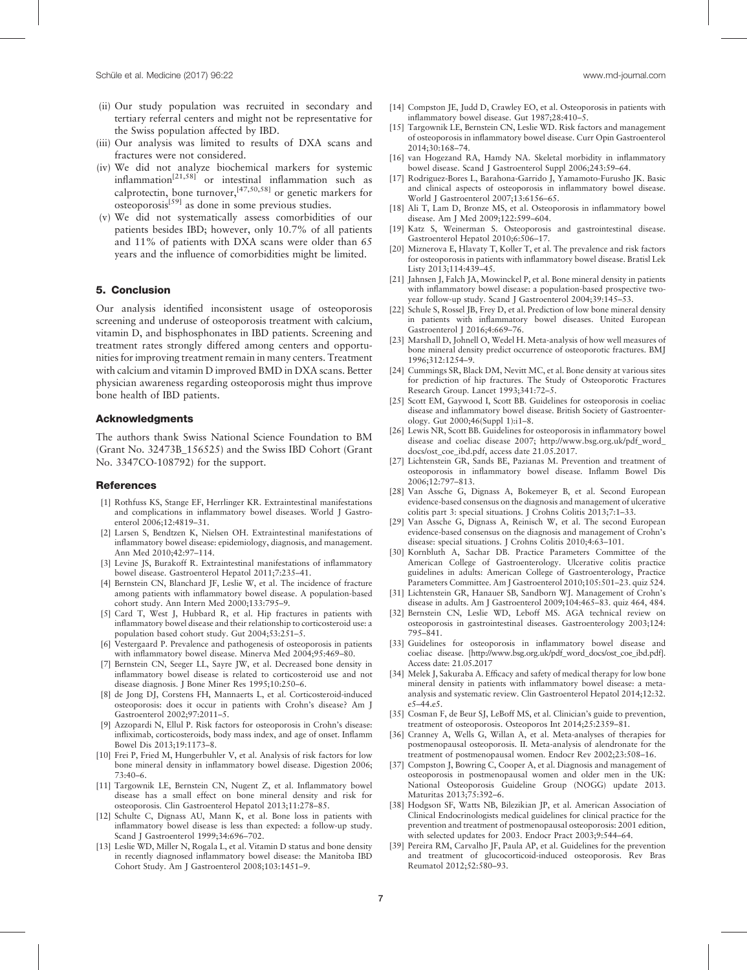- <span id="page-6-0"></span>(ii) Our study population was recruited in secondary and tertiary referral centers and might not be representative for the Swiss population affected by IBD.
- (iii) Our analysis was limited to results of DXA scans and fractures were not considered.
- (iv) We did not analyze biochemical markers for systemic  $\text{inflammation}^{[21,58]}$  or intestinal inflammation such as calprotectin, bone turnover,<sup>[47,50,58]</sup> or genetic markers for osteoporosis[\[59\]](#page-7-0) as done in some previous studies.
- (v) We did not systematically assess comorbidities of our patients besides IBD; however, only 10.7% of all patients and 11% of patients with DXA scans were older than 65 years and the influence of comorbidities might be limited.

# 5. Conclusion

Our analysis identified inconsistent usage of osteoporosis screening and underuse of osteoporosis treatment with calcium, vitamin D, and bisphosphonates in IBD patients. Screening and treatment rates strongly differed among centers and opportunities for improving treatment remain in many centers. Treatment with calcium and vitamin D improved BMD in DXA scans. Better physician awareness regarding osteoporosis might thus improve bone health of IBD patients.

## Acknowledgments

The authors thank Swiss National Science Foundation to BM (Grant No. 32473B\_156525) and the Swiss IBD Cohort (Grant No. 3347CO-108792) for the support.

#### **References**

- [1] Rothfuss KS, Stange EF, Herrlinger KR. Extraintestinal manifestations and complications in inflammatory bowel diseases. World J Gastroenterol 2006;12:4819–31.
- [2] Larsen S, Bendtzen K, Nielsen OH. Extraintestinal manifestations of inflammatory bowel disease: epidemiology, diagnosis, and management. Ann Med 2010;42:97–114.
- [3] Levine JS, Burakoff R. Extraintestinal manifestations of inflammatory bowel disease. Gastroenterol Hepatol 2011;7:235–41.
- [4] Bernstein CN, Blanchard JF, Leslie W, et al. The incidence of fracture among patients with inflammatory bowel disease. A population-based cohort study. Ann Intern Med 2000;133:795–9.
- [5] Card T, West J, Hubbard R, et al. Hip fractures in patients with inflammatory bowel disease and their relationship to corticosteroid use: a population based cohort study. Gut 2004;53:251–5.
- [6] Vestergaard P. Prevalence and pathogenesis of osteoporosis in patients with inflammatory bowel disease. Minerva Med 2004;95:469–80.
- [7] Bernstein CN, Seeger LL, Sayre JW, et al. Decreased bone density in inflammatory bowel disease is related to corticosteroid use and not disease diagnosis. J Bone Miner Res 1995;10:250–6.
- [8] de Jong DJ, Corstens FH, Mannaerts L, et al. Corticosteroid-induced osteoporosis: does it occur in patients with Crohn's disease? Am J Gastroenterol 2002;97:2011–5.
- [9] Azzopardi N, Ellul P. Risk factors for osteoporosis in Crohn's disease: infliximab, corticosteroids, body mass index, and age of onset. Inflamm Bowel Dis 2013;19:1173–8.
- [10] Frei P, Fried M, Hungerbuhler V, et al. Analysis of risk factors for low bone mineral density in inflammatory bowel disease. Digestion 2006; 73:40–6.
- [11] Targownik LE, Bernstein CN, Nugent Z, et al. Inflammatory bowel disease has a small effect on bone mineral density and risk for osteoporosis. Clin Gastroenterol Hepatol 2013;11:278–85.
- [12] Schulte C, Dignass AU, Mann K, et al. Bone loss in patients with inflammatory bowel disease is less than expected: a follow-up study. Scand J Gastroenterol 1999;34:696-702.
- [13] Leslie WD, Miller N, Rogala L, et al. Vitamin D status and bone density in recently diagnosed inflammatory bowel disease: the Manitoba IBD Cohort Study. Am J Gastroenterol 2008;103:1451–9.
- [14] Compston JE, Judd D, Crawley EO, et al. Osteoporosis in patients with inflammatory bowel disease. Gut 1987;28:410–5.
- [15] Targownik LE, Bernstein CN, Leslie WD. Risk factors and management of osteoporosis in inflammatory bowel disease. Curr Opin Gastroenterol 2014;30:168–74.
- [16] van Hogezand RA, Hamdy NA, Skeletal morbidity in inflammatory bowel disease. Scand J Gastroenterol Suppl 2006;243:59–64.
- [17] Rodriguez-Bores L, Barahona-Garrido J, Yamamoto-Furusho JK. Basic and clinical aspects of osteoporosis in inflammatory bowel disease. World J Gastroenterol 2007;13:6156–65.
- [18] Ali T, Lam D, Bronze MS, et al. Osteoporosis in inflammatory bowel disease. Am J Med 2009;122:599–604.
- [19] Katz S, Weinerman S. Osteoporosis and gastrointestinal disease. Gastroenterol Hepatol 2010;6:506–17.
- [20] Miznerova E, Hlavaty T, Koller T, et al. The prevalence and risk factors for osteoporosis in patients with inflammatory bowel disease. Bratisl Lek Listy 2013;114:439–45.
- [21] Jahnsen J, Falch JA, Mowinckel P, et al. Bone mineral density in patients with inflammatory bowel disease: a population-based prospective twoyear follow-up study. Scand J Gastroenterol 2004;39:145–53.
- [22] Schule S, Rossel JB, Frey D, et al. Prediction of low bone mineral density in patients with inflammatory bowel diseases. United European Gastroenterol J 2016;4:669–76.
- [23] Marshall D, Johnell O, Wedel H. Meta-analysis of how well measures of bone mineral density predict occurrence of osteoporotic fractures. BMJ 1996;312:1254–9.
- [24] Cummings SR, Black DM, Nevitt MC, et al. Bone density at various sites for prediction of hip fractures. The Study of Osteoporotic Fractures Research Group. Lancet 1993;341:72–5.
- [25] Scott EM, Gaywood I, Scott BB. Guidelines for osteoporosis in coeliac disease and inflammatory bowel disease. British Society of Gastroenterology. Gut 2000;46(Suppl 1):i1–8.
- [26] Lewis NR, Scott BB. Guidelines for osteoporosis in inflammatory bowel disease and coeliac disease 2007; [http://www.bsg.org.uk/pdf\\_word\\_](http://www.bsg.org.uk/pdf_word_docs/ost_coe_ibd.pdf) [docs/ost\\_coe\\_ibd.pdf,](http://www.bsg.org.uk/pdf_word_docs/ost_coe_ibd.pdf) access date 21.05.2017.
- [27] Lichtenstein GR, Sands BE, Pazianas M. Prevention and treatment of osteoporosis in inflammatory bowel disease. Inflamm Bowel Dis 2006;12:797–813.
- [28] Van Assche G, Dignass A, Bokemeyer B, et al. Second European evidence-based consensus on the diagnosis and management of ulcerative colitis part 3: special situations. J Crohns Colitis 2013;7:1–33.
- [29] Van Assche G, Dignass A, Reinisch W, et al. The second European evidence-based consensus on the diagnosis and management of Crohn's disease: special situations. J Crohns Colitis 2010;4:63–101.
- [30] Kornbluth A, Sachar DB. Practice Parameters Committee of the American College of Gastroenterology. Ulcerative colitis practice guidelines in adults: American College of Gastroenterology, Practice Parameters Committee. Am J Gastroenterol 2010;105:501–23. quiz 524.
- [31] Lichtenstein GR, Hanauer SB, Sandborn WJ. Management of Crohn's disease in adults. Am J Gastroenterol 2009;104:465–83. quiz 464, 484.
- [32] Bernstein CN, Leslie WD, Leboff MS. AGA technical review on osteoporosis in gastrointestinal diseases. Gastroenterology 2003;124: 795–841.
- [33] Guidelines for osteoporosis in inflammatory bowel disease and coeliac disease. [[http://www.bsg.org.uk/pdf\\_word\\_docs/ost\\_coe\\_ibd.pdf\]](http://www.bsg.org.uk/pdf_word_docs/ost_coe_ibd.pdf). Access date: 21.05.2017
- [34] Melek J, Sakuraba A. Efficacy and safety of medical therapy for low bone mineral density in patients with inflammatory bowel disease: a metaanalysis and systematic review. Clin Gastroenterol Hepatol 2014;12:32. e5–44.e5.
- [35] Cosman F, de Beur SJ, LeBoff MS, et al. Clinician's guide to prevention, treatment of osteoporosis. Osteoporos Int 2014;25:2359–81.
- [36] Cranney A, Wells G, Willan A, et al. Meta-analyses of therapies for postmenopausal osteoporosis. II. Meta-analysis of alendronate for the treatment of postmenopausal women. Endocr Rev 2002;23:508–16.
- [37] Compston J, Bowring C, Cooper A, et al. Diagnosis and management of osteoporosis in postmenopausal women and older men in the UK: National Osteoporosis Guideline Group (NOGG) update 2013. Maturitas 2013;75:392–6.
- [38] Hodgson SF, Watts NB, Bilezikian JP, et al. American Association of Clinical Endocrinologists medical guidelines for clinical practice for the prevention and treatment of postmenopausal osteoporosis: 2001 edition, with selected updates for 2003. Endocr Pract 2003;9:544–64.
- [39] Pereira RM, Carvalho JF, Paula AP, et al. Guidelines for the prevention and treatment of glucocorticoid-induced osteoporosis. Rev Bras Reumatol 2012;52:580–93.